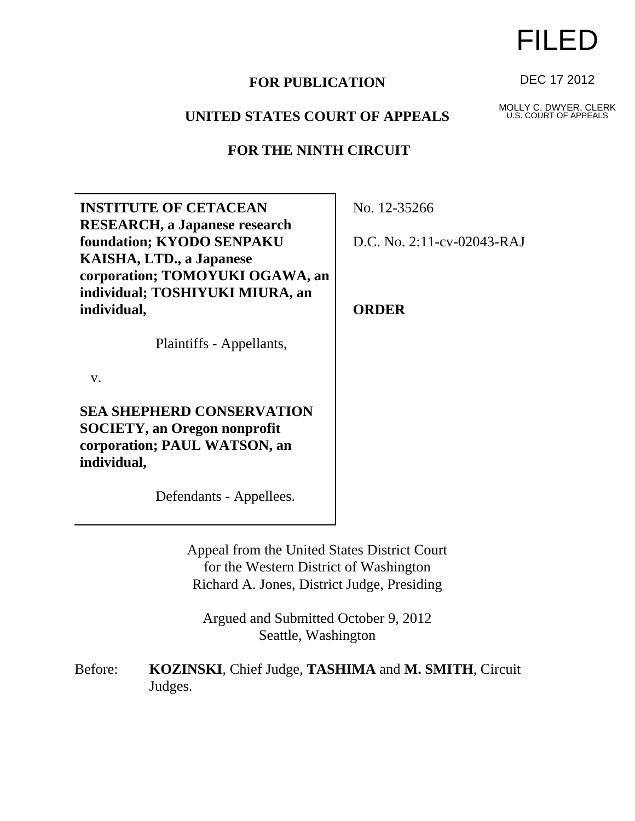## **FOR PUBLICATION**

## **UNITED STATES COURT OF APPEALS**

## **FOR THE NINTH CIRCUIT**

**INSTITUTE OF CETACEAN RESEARCH, a Japanese research foundation; KYODO SENPAKU KAISHA, LTD., a Japanese corporation; TOMOYUKI OGAWA, an individual; TOSHIYUKI MIURA, an individual,**

Plaintiffs - Appellants,

v.

**SEA SHEPHERD CONSERVATION SOCIETY, an Oregon nonprofit corporation; PAUL WATSON, an individual,**

Defendants - Appellees.

No. 12-35266

D.C. No. 2:11-cv-02043-RAJ

**ORDER**

Appeal from the United States District Court for the Western District of Washington Richard A. Jones, District Judge, Presiding

Argued and Submitted October 9, 2012 Seattle, Washington

Before: **KOZINSKI**, Chief Judge, **TASHIMA** and **M. SMITH**, Circuit Judges.

## FILED

DEC 17 2012

MOLLY C. DWYER, CLERK U.S. COURT OF APPEALS